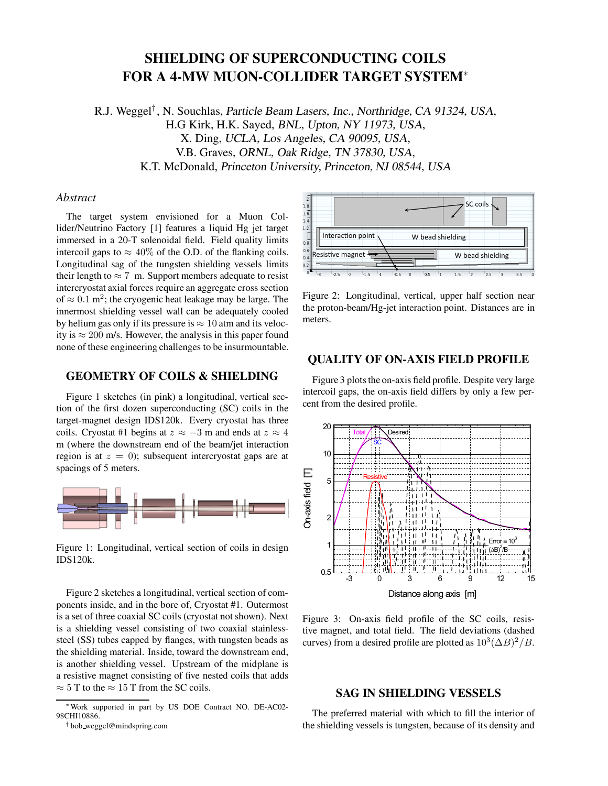# **SHIELDING OF SUPERCONDUCTING COILS FOR A 4-MW MUON-COLLIDER TARGET SYSTEM**<sup>∗</sup>

R.J. Weggel*†* , N. Souchlas, Particle Beam Lasers, Inc., Northridge, CA 91324, USA, H.G Kirk, H.K. Sayed, BNL, Upton, NY 11973, USA, X. Ding, UCLA, Los Angeles, CA 90095, USA, V.B. Graves, ORNL, Oak Ridge, TN 37830, USA, K.T. McDonald, Princeton University, Princeton, NJ 08544, USA

## *Abstract*

The target system envisioned for a Muon Collider/Neutrino Factory [1] features a liquid Hg jet target immersed in a 20-T solenoidal field. Field quality limits intercoil gaps to  $\approx 40\%$  of the O.D. of the flanking coils. Longitudinal sag of the tungsten shielding vessels limits their length to  $\approx 7$  m. Support members adequate to resist intercryostat axial forces require an aggregate cross section of  $\approx 0.1$  m<sup>2</sup>; the cryogenic heat leakage may be large. The innermost shielding vessel wall can be adequately cooled by helium gas only if its pressure is  $\approx 10$  atm and its velocity is  $\approx 200$  m/s. However, the analysis in this paper found none of these engineering challenges to be insurmountable.

## **GEOMETRY OF COILS & SHIELDING**

Figure 1 sketches (in pink) a longitudinal, vertical section of the first dozen superconducting (SC) coils in the target-magnet design IDS120k. Every cryostat has three coils. Cryostat #1 begins at  $z \approx -3$  m and ends at  $z \approx 4$ m (where the downstream end of the beam/jet interaction region is at  $z = 0$ ; subsequent intercryostat gaps are at spacings of 5 meters.



Figure 1: Longitudinal, vertical section of coils in design IDS120k.

Figure 2 sketches a longitudinal, vertical section of components inside, and in the bore of, Cryostat #1. Outermost is a set of three coaxial SC coils (cryostat not shown). Next is a shielding vessel consisting of two coaxial stainlesssteel (SS) tubes capped by flanges, with tungsten beads as the shielding material. Inside, toward the downstream end, is another shielding vessel. Upstream of the midplane is a resistive magnet consisting of five nested coils that adds  $\approx$  5 T to the  $\approx$  15 T from the SC coils.



Figure 2: Longitudinal, vertical, upper half section near the proton-beam/Hg-jet interaction point. Distances are in meters.

## **QUALITY OF ON-AXIS FIELD PROFILE**

Figure 3 plots the on-axis field profile. Despite very large intercoil gaps, the on-axis field differs by only a few percent from the desired profile.



Figure 3: On-axis field profile of the SC coils, resistive magnet, and total field. The field deviations (dashed curves) from a desired profile are plotted as  $10^3(\Delta B)^2/B$ .

# **SAG IN SHIELDING VESSELS**

The preferred material with which to fill the interior of the shielding vessels is tungsten, because of its density and

<sup>∗</sup>Work supported in part by US DOE Contract NO. DE-AC02- 98CHI10886.

<sup>†</sup> bob weggel@mindspring.com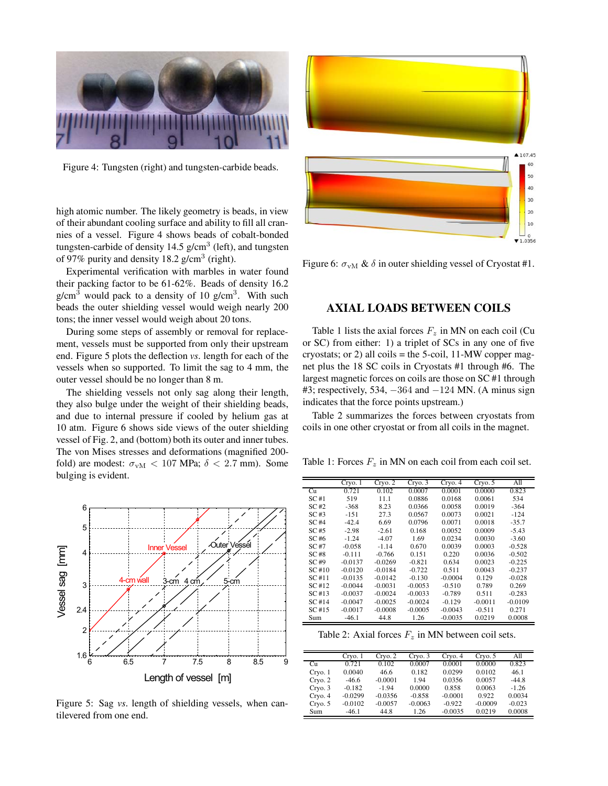

Figure 4: Tungsten (right) and tungsten-carbide beads.

high atomic number. The likely geometry is beads, in view of their abundant cooling surface and ability to fill all crannies of a vessel. Figure 4 shows beads of cobalt-bonded tungsten-carbide of density  $14.5$  g/cm<sup>3</sup> (left), and tungsten of 97% purity and density 18.2 g/cm<sup>3</sup> (right).

Experimental verification with marbles in water found their packing factor to be 61-62%. Beads of density 16.2  $g/cm<sup>3</sup>$  would pack to a density of 10  $g/cm<sup>3</sup>$ . With such beads the outer shielding vessel would weigh nearly 200 tons; the inner vessel would weigh about 20 tons.

During some steps of assembly or removal for replacement, vessels must be supported from only their upstream end. Figure 5 plots the deflection *vs*. length for each of the vessels when so supported. To limit the sag to 4 mm, the outer vessel should be no longer than 8 m.

The shielding vessels not only sag along their length, they also bulge under the weight of their shielding beads, and due to internal pressure if cooled by helium gas at 10 atm. Figure 6 shows side views of the outer shielding vessel of Fig. 2, and (bottom) both its outer and inner tubes. The von Mises stresses and deformations (magnified 200 fold) are modest:  $\sigma_{vM}$  < 107 MPa;  $\delta$  < 2.7 mm). Some bulging is evident.



Figure 5: Sag *vs*. length of shielding vessels, when cantilevered from one end.



Figure 6:  $\sigma_{vM}$  &  $\delta$  in outer shielding vessel of Cryostat #1.

#### **AXIAL LOADS BETWEEN COILS**

Table 1 lists the axial forces  $F_z$  in MN on each coil (Cu or SC) from either: 1) a triplet of SCs in any one of five cryostats; or 2) all coils = the 5-coil,  $11-MW$  copper magnet plus the 18 SC coils in Cryostats #1 through #6. The largest magnetic forces on coils are those on SC #1 through #3; respectively, 534, −364 and −124 MN. (A minus sign indicates that the force points upstream.)

Table 2 summarizes the forces between cryostats from coils in one other cryostat or from all coils in the magnet.

Table 1: Forces  $F_z$  in MN on each coil from each coil set.

|       | Cryo. 1   | Cryo.2    | Cryo.3    | Cryo. 4   | Cryo. 5   | All       |
|-------|-----------|-----------|-----------|-----------|-----------|-----------|
| Cu    | 0.721     | 0.102     | 0.0007    | 0.0001    | 0.0000    | 0.823     |
| SC#1  | 519       | 11.1      | 0.0886    | 0.0168    | 0.0061    | 534       |
| SC#2  | $-368$    | 8.23      | 0.0366    | 0.0058    | 0.0019    | $-364$    |
| SC#3  | $-151$    | 27.3      | 0.0567    | 0.0073    | 0.0021    | $-124$    |
| SC #4 | $-42.4$   | 6.69      | 0.0796    | 0.0071    | 0.0018    | $-35.7$   |
| SC #5 | $-2.98$   | $-2.61$   | 0.168     | 0.0052    | 0.0009    | $-5.43$   |
| SC#6  | $-1.24$   | $-4.07$   | 1.69      | 0.0234    | 0.0030    | $-3.60$   |
| SC #7 | $-0.058$  | $-1.14$   | 0.670     | 0.0039    | 0.0003    | $-0.528$  |
| SC#8  | $-0.111$  | $-0.766$  | 0.151     | 0.220     | 0.0036    | $-0.502$  |
| SC#9  | $-0.0137$ | $-0.0269$ | $-0.821$  | 0.634     | 0.0023    | $-0.225$  |
| SC#10 | $-0.0120$ | $-0.0184$ | $-0.722$  | 0.511     | 0.0043    | $-0.237$  |
| SC#11 | $-0.0135$ | $-0.0142$ | $-0.130$  | $-0.0004$ | 0.129     | $-0.028$  |
| SC#12 | $-0.0044$ | $-0.0031$ | $-0.0053$ | $-0.510$  | 0.789     | 0.269     |
| SC#13 | $-0.0037$ | $-0.0024$ | $-0.0033$ | $-0.789$  | 0.511     | $-0.283$  |
| SC#14 | $-0.0047$ | $-0.0025$ | $-0.0024$ | $-0.129$  | $-0.0011$ | $-0.0109$ |
| SC#15 | $-0.0017$ | $-0.0008$ | $-0.0005$ | $-0.0043$ | $-0.511$  | 0.271     |
| Sum   | $-46.1$   | 44.8      | 1.26      | $-0.0035$ | 0.0219    | 0.0008    |

Table 2: Axial forces  $F_z$  in MN between coil sets.

|         | Cryo.1    | Cryo. 2   | Cryo.3    | Cryo. 4   | Cryo. 5   | A11      |
|---------|-----------|-----------|-----------|-----------|-----------|----------|
| Cп      | 0.721     | 0.102     | 0.0007    | 0.0001    | 0.0000    | 0.823    |
| Cryo.1  | 0.0040    | 46.6      | 0.182     | 0.0299    | 0.0102    | 46.1     |
| Cryo. 2 | $-46.6$   | $-0.0001$ | 1.94      | 0.0356    | 0.0057    | $-44.8$  |
| Cryo.3  | $-0.182$  | $-1.94$   | 0.0000    | 0.858     | 0.0063    | $-1.26$  |
| Cryo. 4 | $-0.0299$ | $-0.0356$ | $-0.858$  | $-0.0001$ | 0.922     | 0.0034   |
| Cryo. 5 | $-0.0102$ | $-0.0057$ | $-0.0063$ | $-0.922$  | $-0.0009$ | $-0.023$ |
| Sum     | $-46.1$   | 44.8      | 1.26      | $-0.0035$ | 0.0219    | 0.0008   |